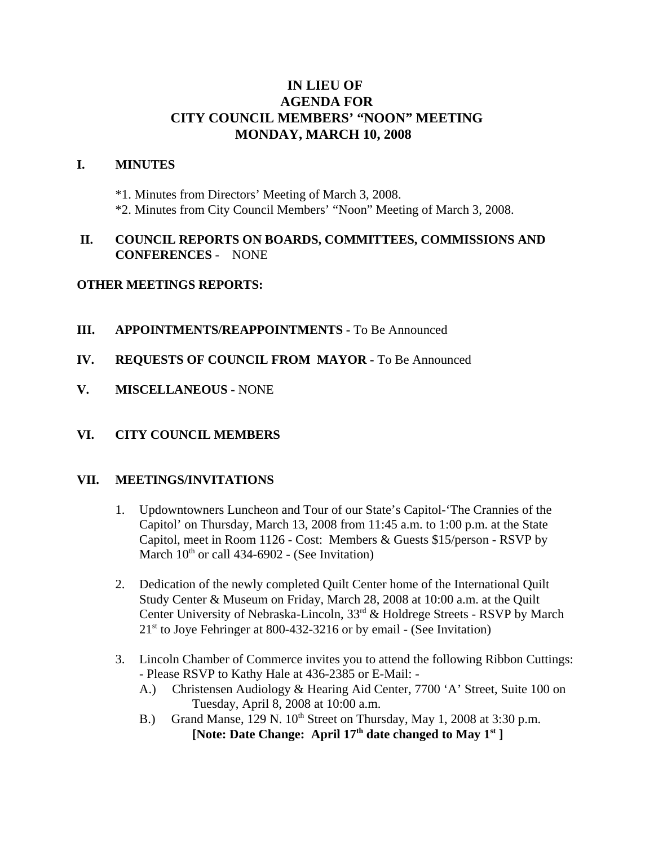# **IN LIEU OF AGENDA FOR CITY COUNCIL MEMBERS' "NOON" MEETING MONDAY, MARCH 10, 2008**

#### **I. MINUTES**

\*1. Minutes from Directors' Meeting of March 3, 2008. \*2. Minutes from City Council Members' "Noon" Meeting of March 3, 2008.

### **II. COUNCIL REPORTS ON BOARDS, COMMITTEES, COMMISSIONS AND CONFERENCES** - NONE

#### **OTHER MEETINGS REPORTS:**

- **III.** APPOINTMENTS/REAPPOINTMENTS To Be Announced
- **IV. REQUESTS OF COUNCIL FROM MAYOR -** To Be Announced
- **V. MISCELLANEOUS -** NONE

## **VI. CITY COUNCIL MEMBERS**

#### **VII. MEETINGS/INVITATIONS**

- 1. Updowntowners Luncheon and Tour of our State's Capitol-'The Crannies of the Capitol' on Thursday, March 13, 2008 from 11:45 a.m. to 1:00 p.m. at the State Capitol, meet in Room 1126 - Cost: Members & Guests \$15/person - RSVP by March  $10^{th}$  or call 434-6902 - (See Invitation)
- 2. Dedication of the newly completed Quilt Center home of the International Quilt Study Center & Museum on Friday, March 28, 2008 at 10:00 a.m. at the Quilt Center University of Nebraska-Lincoln, 33<sup>rd</sup> & Holdrege Streets - RSVP by March  $21<sup>st</sup>$  to Joye Fehringer at 800-432-3216 or by email - (See Invitation)
- 3. Lincoln Chamber of Commerce invites you to attend the following Ribbon Cuttings: - Please RSVP to Kathy Hale at 436-2385 or E-Mail: -
	- A.) Christensen Audiology & Hearing Aid Center, 7700 'A' Street, Suite 100 on Tuesday, April 8, 2008 at 10:00 a.m.
	- B.) Grand Manse, 129 N.  $10^{th}$  Street on Thursday, May 1, 2008 at 3:30 p.m. [Note: Date Change: April 17<sup>th</sup> date changed to May 1<sup>st</sup>]